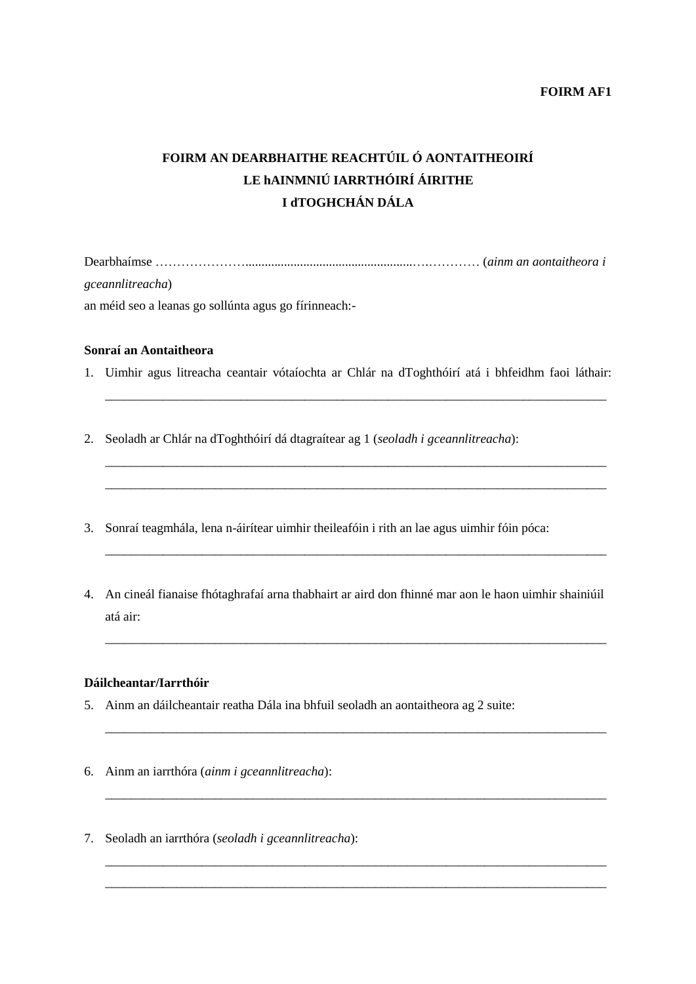## **FOIRM AF1**

# **FOIRM AN DEARBHAITHE REACHTÚIL Ó AONTAITHEOIRÍ LE hAINMNIÚ IARRTHÓIRÍ ÁIRITHE I dTOGHCHÁN DÁLA**

Dearbhaímse …………………....................................................….………… (*ainm an aontaitheora i gceannlitreacha*) an méid seo a leanas go sollúnta agus go fírinneach:-

### **Sonraí an Aontaitheora**

1. Uimhir agus litreacha ceantair vótaíochta ar Chlár na dToghthóirí atá i bhfeidhm faoi láthair:

\_\_\_\_\_\_\_\_\_\_\_\_\_\_\_\_\_\_\_\_\_\_\_\_\_\_\_\_\_\_\_\_\_\_\_\_\_\_\_\_\_\_\_\_\_\_\_\_\_\_\_\_\_\_\_\_\_\_\_\_\_\_\_\_\_\_\_\_\_\_\_\_\_\_\_\_\_\_

\_\_\_\_\_\_\_\_\_\_\_\_\_\_\_\_\_\_\_\_\_\_\_\_\_\_\_\_\_\_\_\_\_\_\_\_\_\_\_\_\_\_\_\_\_\_\_\_\_\_\_\_\_\_\_\_\_\_\_\_\_\_\_\_\_\_\_\_\_\_\_\_\_\_\_\_\_\_ \_\_\_\_\_\_\_\_\_\_\_\_\_\_\_\_\_\_\_\_\_\_\_\_\_\_\_\_\_\_\_\_\_\_\_\_\_\_\_\_\_\_\_\_\_\_\_\_\_\_\_\_\_\_\_\_\_\_\_\_\_\_\_\_\_\_\_\_\_\_\_\_\_\_\_\_\_\_

\_\_\_\_\_\_\_\_\_\_\_\_\_\_\_\_\_\_\_\_\_\_\_\_\_\_\_\_\_\_\_\_\_\_\_\_\_\_\_\_\_\_\_\_\_\_\_\_\_\_\_\_\_\_\_\_\_\_\_\_\_\_\_\_\_\_\_\_\_\_\_\_\_\_\_\_\_\_

- 2. Seoladh ar Chlár na dToghthóirí dá dtagraítear ag 1 (*seoladh i gceannlitreacha*):
- 3. Sonraí teagmhála, lena n-áirítear uimhir theileafóin i rith an lae agus uimhir fóin póca:
- 4. An cineál fianaise fhótaghrafaí arna thabhairt ar aird don fhinné mar aon le haon uimhir shainiúil atá air:

\_\_\_\_\_\_\_\_\_\_\_\_\_\_\_\_\_\_\_\_\_\_\_\_\_\_\_\_\_\_\_\_\_\_\_\_\_\_\_\_\_\_\_\_\_\_\_\_\_\_\_\_\_\_\_\_\_\_\_\_\_\_\_\_\_\_\_\_\_\_\_\_\_\_\_\_\_\_

\_\_\_\_\_\_\_\_\_\_\_\_\_\_\_\_\_\_\_\_\_\_\_\_\_\_\_\_\_\_\_\_\_\_\_\_\_\_\_\_\_\_\_\_\_\_\_\_\_\_\_\_\_\_\_\_\_\_\_\_\_\_\_\_\_\_\_\_\_\_\_\_\_\_\_\_\_\_

\_\_\_\_\_\_\_\_\_\_\_\_\_\_\_\_\_\_\_\_\_\_\_\_\_\_\_\_\_\_\_\_\_\_\_\_\_\_\_\_\_\_\_\_\_\_\_\_\_\_\_\_\_\_\_\_\_\_\_\_\_\_\_\_\_\_\_\_\_\_\_\_\_\_\_\_\_\_

\_\_\_\_\_\_\_\_\_\_\_\_\_\_\_\_\_\_\_\_\_\_\_\_\_\_\_\_\_\_\_\_\_\_\_\_\_\_\_\_\_\_\_\_\_\_\_\_\_\_\_\_\_\_\_\_\_\_\_\_\_\_\_\_\_\_\_\_\_\_\_\_\_\_\_\_\_\_ \_\_\_\_\_\_\_\_\_\_\_\_\_\_\_\_\_\_\_\_\_\_\_\_\_\_\_\_\_\_\_\_\_\_\_\_\_\_\_\_\_\_\_\_\_\_\_\_\_\_\_\_\_\_\_\_\_\_\_\_\_\_\_\_\_\_\_\_\_\_\_\_\_\_\_\_\_\_

## **Dáilcheantar/Iarrthóir**

- 5. Ainm an dáilcheantair reatha Dála ina bhfuil seoladh an aontaitheora ag 2 suite:
- 6. Ainm an iarrthóra (*ainm i gceannlitreacha*):
- 7. Seoladh an iarrthóra (*seoladh i gceannlitreacha*):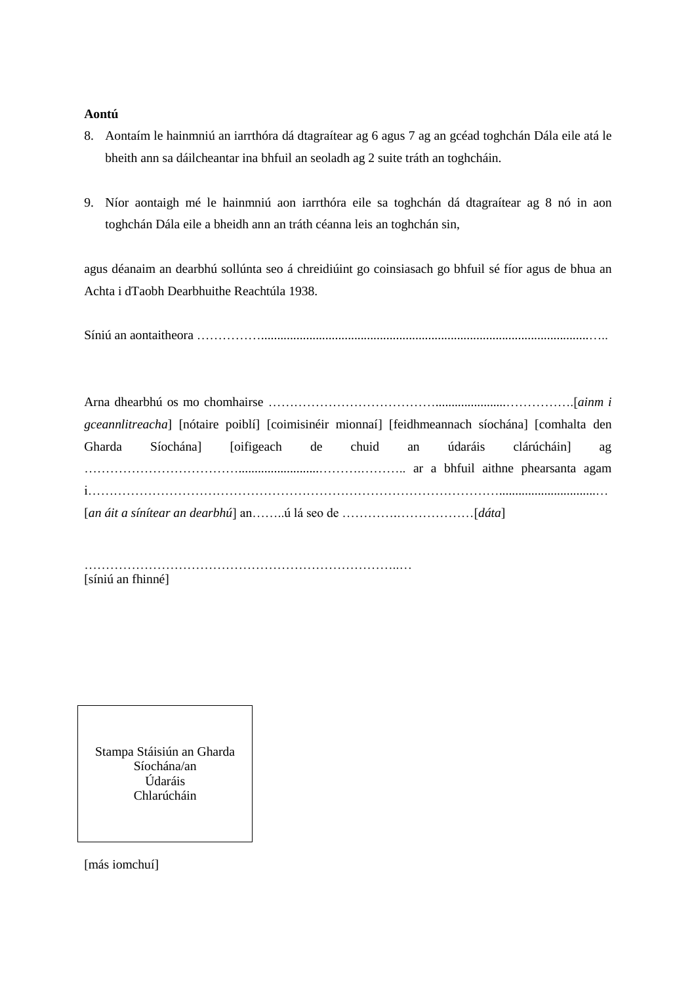## **Aontú**

- 8. Aontaím le hainmniú an iarrthóra dá dtagraítear ag 6 agus 7 ag an gcéad toghchán Dála eile atá le bheith ann sa dáilcheantar ina bhfuil an seoladh ag 2 suite tráth an toghcháin.
- 9. Níor aontaigh mé le hainmniú aon iarrthóra eile sa toghchán dá dtagraítear ag 8 nó in aon toghchán Dála eile a bheidh ann an tráth céanna leis an toghchán sin,

agus déanaim an dearbhú sollúnta seo á chreidiúint go coinsiasach go bhfuil sé fíor agus de bhua an Achta i dTaobh Dearbhuithe Reachtúla 1938.

Síniú an aontaitheora ……………......................................................................................................…..

|  | gceannlitreacha] [nótaire poiblí] [coimisinéir mionnaí] [feidhmeannach síochána] [comhalta den |  |  |  |  |  |  |  |  |
|--|------------------------------------------------------------------------------------------------|--|--|--|--|--|--|--|--|
|  | Gharda Síochána [oifigeach de chuid an údaráis clárúcháin] ag                                  |  |  |  |  |  |  |  |  |
|  |                                                                                                |  |  |  |  |  |  |  |  |
|  |                                                                                                |  |  |  |  |  |  |  |  |
|  |                                                                                                |  |  |  |  |  |  |  |  |

………………………………………………………………..… [síniú an fhinné]

Stampa Stáisiún an Gharda Síochána/an Údaráis Chlarúcháin

[más iomchuí]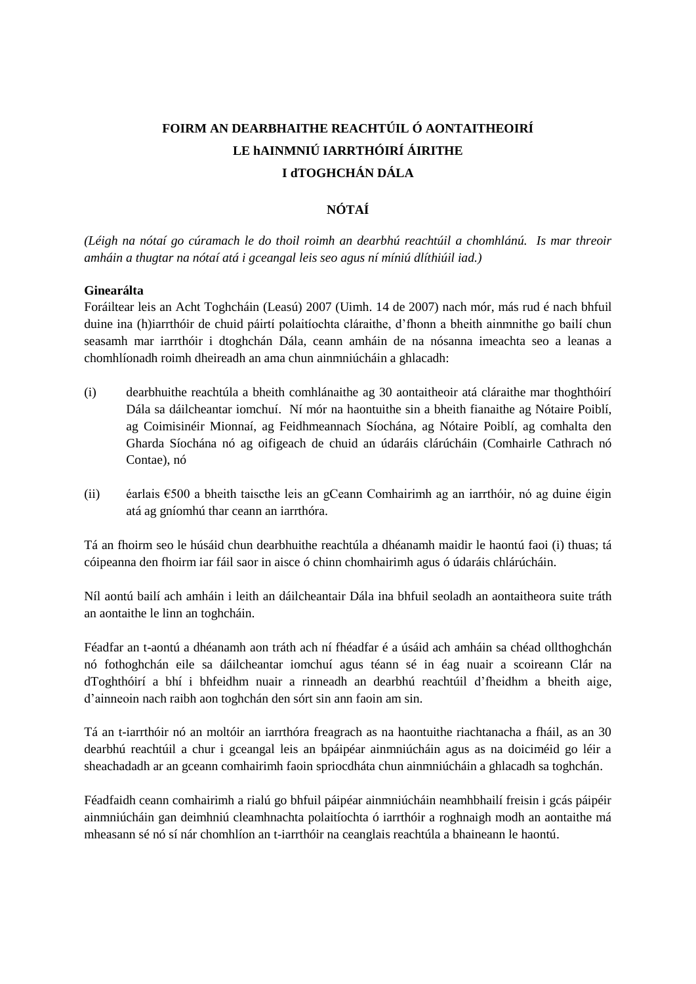# **FOIRM AN DEARBHAITHE REACHTÚIL Ó AONTAITHEOIRÍ LE hAINMNIÚ IARRTHÓIRÍ ÁIRITHE I dTOGHCHÁN DÁLA**

## **NÓTAÍ**

*(Léigh na nótaí go cúramach le do thoil roimh an dearbhú reachtúil a chomhlánú. Is mar threoir amháin a thugtar na nótaí atá i gceangal leis seo agus ní míniú dlíthiúil iad.)*

## **Ginearálta**

Foráiltear leis an Acht Toghcháin (Leasú) 2007 (Uimh. 14 de 2007) nach mór, más rud é nach bhfuil duine ina (h)iarrthóir de chuid páirtí polaitíochta cláraithe, d'fhonn a bheith ainmnithe go bailí chun seasamh mar iarrthóir i dtoghchán Dála, ceann amháin de na nósanna imeachta seo a leanas a chomhlíonadh roimh dheireadh an ama chun ainmniúcháin a ghlacadh:

- (i) dearbhuithe reachtúla a bheith comhlánaithe ag 30 aontaitheoir atá cláraithe mar thoghthóirí Dála sa dáilcheantar iomchuí. Ní mór na haontuithe sin a bheith fianaithe ag Nótaire Poiblí, ag Coimisinéir Mionnaí, ag Feidhmeannach Síochána, ag Nótaire Poiblí, ag comhalta den Gharda Síochána nó ag oifigeach de chuid an údaráis clárúcháin (Comhairle Cathrach nó Contae), nó
- (ii) éarlais €500 a bheith taiscthe leis an gCeann Comhairimh ag an iarrthóir, nó ag duine éigin atá ag gníomhú thar ceann an iarrthóra.

Tá an fhoirm seo le húsáid chun dearbhuithe reachtúla a dhéanamh maidir le haontú faoi (i) thuas; tá cóipeanna den fhoirm iar fáil saor in aisce ó chinn chomhairimh agus ó údaráis chlárúcháin.

Níl aontú bailí ach amháin i leith an dáilcheantair Dála ina bhfuil seoladh an aontaitheora suite tráth an aontaithe le linn an toghcháin.

Féadfar an t-aontú a dhéanamh aon tráth ach ní fhéadfar é a úsáid ach amháin sa chéad ollthoghchán nó fothoghchán eile sa dáilcheantar iomchuí agus téann sé in éag nuair a scoireann Clár na dToghthóirí a bhí i bhfeidhm nuair a rinneadh an dearbhú reachtúil d'fheidhm a bheith aige, d'ainneoin nach raibh aon toghchán den sórt sin ann faoin am sin.

Tá an t-iarrthóir nó an moltóir an iarrthóra freagrach as na haontuithe riachtanacha a fháil, as an 30 dearbhú reachtúil a chur i gceangal leis an bpáipéar ainmniúcháin agus as na doiciméid go léir a sheachadadh ar an gceann comhairimh faoin spriocdháta chun ainmniúcháin a ghlacadh sa toghchán.

Féadfaidh ceann comhairimh a rialú go bhfuil páipéar ainmniúcháin neamhbhailí freisin i gcás páipéir ainmniúcháin gan deimhniú cleamhnachta polaitíochta ó iarrthóir a roghnaigh modh an aontaithe má mheasann sé nó sí nár chomhlíon an t-iarrthóir na ceanglais reachtúla a bhaineann le haontú.